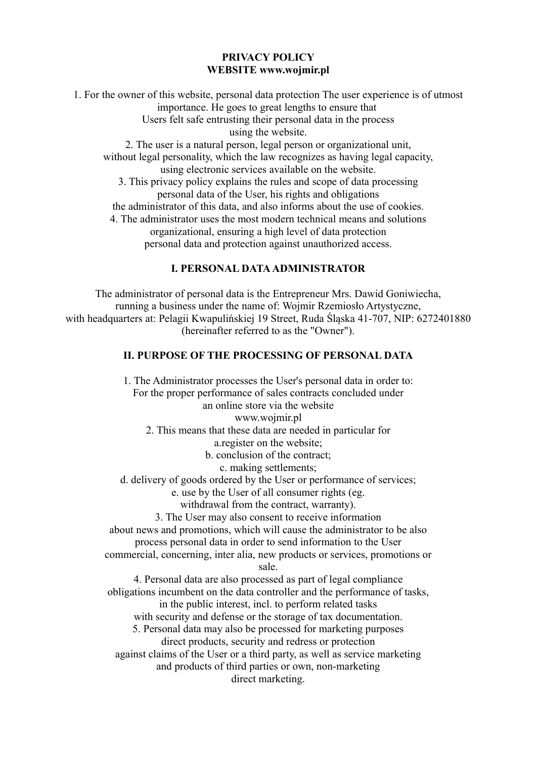## **PRIVACY POLICY WEBSITE www.wojmir.pl**

1. For the owner of this website, personal data protection The user experience is of utmost importance. He goes to great lengths to ensure that Users felt safe entrusting their personal data in the process using the website. 2. The user is a natural person, legal person or organizational unit, without legal personality, which the law recognizes as having legal capacity, using electronic services available on the website. 3. This privacy policy explains the rules and scope of data processing personal data of the User, his rights and obligations the administrator of this data, and also informs about the use of cookies. 4. The administrator uses the most modern technical means and solutions organizational, ensuring a high level of data protection personal data and protection against unauthorized access.

# **I. PERSONAL DATA ADMINISTRATOR**

The administrator of personal data is the Entrepreneur Mrs. Dawid Goniwiecha, running a business under the name of: Wojmir Rzemiosło Artystyczne, with headquarters at: Pelagii Kwapulińskiej 19 Street, Ruda Śląska 41-707, NIP: 6272401880 (hereinafter referred to as the "Owner").

# **II. PURPOSE OF THE PROCESSING OF PERSONAL DATA**

1. The Administrator processes the User's personal data in order to: For the proper performance of sales contracts concluded under an online store via the website www.wojmir.pl 2. This means that these data are needed in particular for a.register on the website; b. conclusion of the contract; c. making settlements; d. delivery of goods ordered by the User or performance of services; e. use by the User of all consumer rights (eg. withdrawal from the contract, warranty). 3. The User may also consent to receive information about news and promotions, which will cause the administrator to be also process personal data in order to send information to the User commercial, concerning, inter alia, new products or services, promotions or sale. 4. Personal data are also processed as part of legal compliance obligations incumbent on the data controller and the performance of tasks, in the public interest, incl. to perform related tasks with security and defense or the storage of tax documentation. 5. Personal data may also be processed for marketing purposes direct products, security and redress or protection against claims of the User or a third party, as well as service marketing and products of third parties or own, non-marketing direct marketing.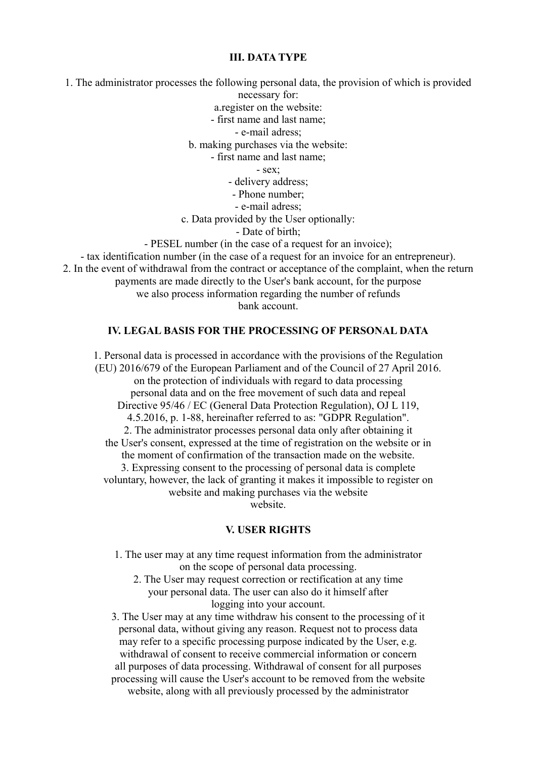#### **III. DATA TYPE**

1. The administrator processes the following personal data, the provision of which is provided necessary for: a.register on the website: - first name and last name; - e-mail adress; b. making purchases via the website: - first name and last name; - sex; - delivery address; - Phone number; - e-mail adress; c. Data provided by the User optionally: - Date of birth; - PESEL number (in the case of a request for an invoice); - tax identification number (in the case of a request for an invoice for an entrepreneur). 2. In the event of withdrawal from the contract or acceptance of the complaint, when the return payments are made directly to the User's bank account, for the purpose we also process information regarding the number of refunds bank account.

## **IV. LEGAL BASIS FOR THE PROCESSING OF PERSONAL DATA**

1. Personal data is processed in accordance with the provisions of the Regulation (EU) 2016/679 of the European Parliament and of the Council of 27 April 2016. on the protection of individuals with regard to data processing personal data and on the free movement of such data and repeal Directive 95/46 / EC (General Data Protection Regulation), OJ L 119, 4.5.2016, p. 1-88, hereinafter referred to as: "GDPR Regulation". 2. The administrator processes personal data only after obtaining it the User's consent, expressed at the time of registration on the website or in the moment of confirmation of the transaction made on the website. 3. Expressing consent to the processing of personal data is complete voluntary, however, the lack of granting it makes it impossible to register on website and making purchases via the website website.

#### **V. USER RIGHTS**

- 1. The user may at any time request information from the administrator on the scope of personal data processing.
	- 2. The User may request correction or rectification at any time your personal data. The user can also do it himself after logging into your account.

3. The User may at any time withdraw his consent to the processing of it personal data, without giving any reason. Request not to process data may refer to a specific processing purpose indicated by the User, e.g. withdrawal of consent to receive commercial information or concern all purposes of data processing. Withdrawal of consent for all purposes processing will cause the User's account to be removed from the website website, along with all previously processed by the administrator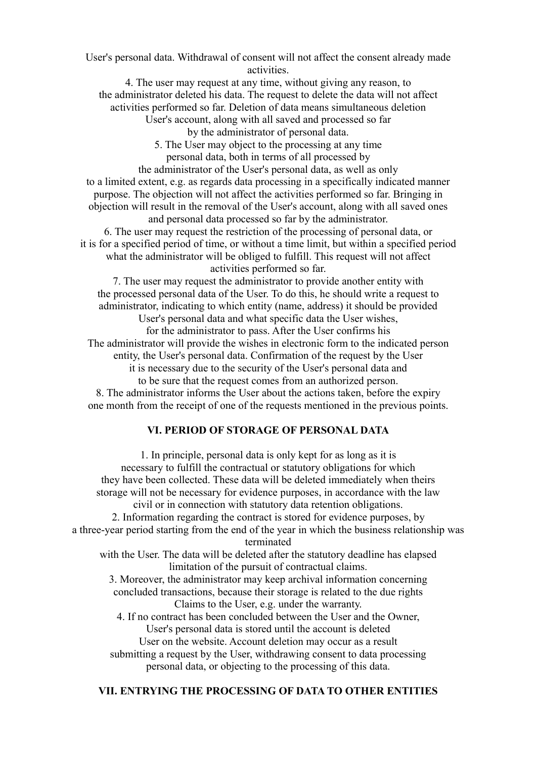User's personal data. Withdrawal of consent will not affect the consent already made activities.

4. The user may request at any time, without giving any reason, to the administrator deleted his data. The request to delete the data will not affect activities performed so far. Deletion of data means simultaneous deletion

User's account, along with all saved and processed so far

by the administrator of personal data.

5. The User may object to the processing at any time personal data, both in terms of all processed by

the administrator of the User's personal data, as well as only to a limited extent, e.g. as regards data processing in a specifically indicated manner purpose. The objection will not affect the activities performed so far. Bringing in objection will result in the removal of the User's account, along with all saved ones and personal data processed so far by the administrator.

6. The user may request the restriction of the processing of personal data, or it is for a specified period of time, or without a time limit, but within a specified period what the administrator will be obliged to fulfill. This request will not affect activities performed so far.

7. The user may request the administrator to provide another entity with the processed personal data of the User. To do this, he should write a request to administrator, indicating to which entity (name, address) it should be provided

User's personal data and what specific data the User wishes,

for the administrator to pass. After the User confirms his The administrator will provide the wishes in electronic form to the indicated person entity, the User's personal data. Confirmation of the request by the User

it is necessary due to the security of the User's personal data and

to be sure that the request comes from an authorized person.

8. The administrator informs the User about the actions taken, before the expiry one month from the receipt of one of the requests mentioned in the previous points.

## **VI. PERIOD OF STORAGE OF PERSONAL DATA**

1. In principle, personal data is only kept for as long as it is necessary to fulfill the contractual or statutory obligations for which they have been collected. These data will be deleted immediately when theirs storage will not be necessary for evidence purposes, in accordance with the law civil or in connection with statutory data retention obligations. 2. Information regarding the contract is stored for evidence purposes, by a three-year period starting from the end of the year in which the business relationship was terminated with the User. The data will be deleted after the statutory deadline has elapsed limitation of the pursuit of contractual claims. 3. Moreover, the administrator may keep archival information concerning concluded transactions, because their storage is related to the due rights Claims to the User, e.g. under the warranty. 4. If no contract has been concluded between the User and the Owner, User's personal data is stored until the account is deleted User on the website. Account deletion may occur as a result

submitting a request by the User, withdrawing consent to data processing personal data, or objecting to the processing of this data.

## **VII. ENTRYING THE PROCESSING OF DATA TO OTHER ENTITIES**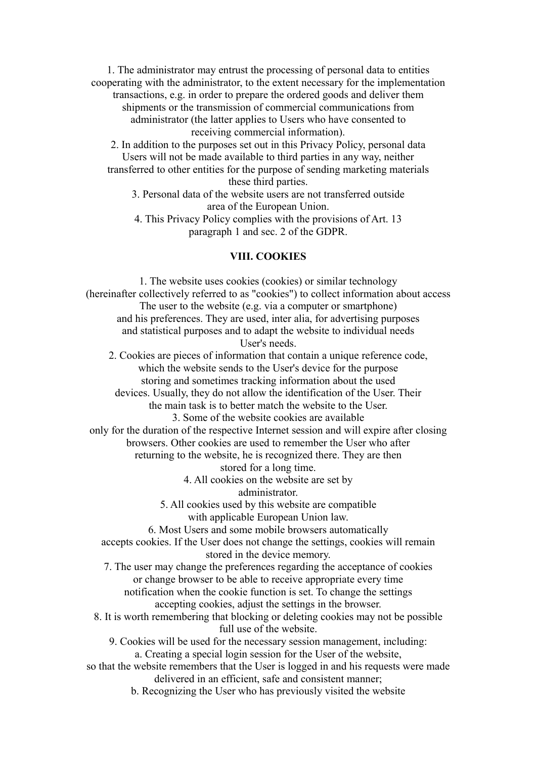1. The administrator may entrust the processing of personal data to entities cooperating with the administrator, to the extent necessary for the implementation transactions, e.g. in order to prepare the ordered goods and deliver them shipments or the transmission of commercial communications from administrator (the latter applies to Users who have consented to receiving commercial information).

2. In addition to the purposes set out in this Privacy Policy, personal data Users will not be made available to third parties in any way, neither transferred to other entities for the purpose of sending marketing materials these third parties.

3. Personal data of the website users are not transferred outside area of the European Union.

4. This Privacy Policy complies with the provisions of Art. 13 paragraph 1 and sec. 2 of the GDPR.

#### **VIII. COOKIES**

1. The website uses cookies (cookies) or similar technology (hereinafter collectively referred to as "cookies") to collect information about access The user to the website (e.g. via a computer or smartphone) and his preferences. They are used, inter alia, for advertising purposes and statistical purposes and to adapt the website to individual needs User's needs. 2. Cookies are pieces of information that contain a unique reference code, which the website sends to the User's device for the purpose storing and sometimes tracking information about the used devices. Usually, they do not allow the identification of the User. Their the main task is to better match the website to the User. 3. Some of the website cookies are available only for the duration of the respective Internet session and will expire after closing browsers. Other cookies are used to remember the User who after returning to the website, he is recognized there. They are then stored for a long time. 4. All cookies on the website are set by administrator. 5. All cookies used by this website are compatible with applicable European Union law. 6. Most Users and some mobile browsers automatically accepts cookies. If the User does not change the settings, cookies will remain stored in the device memory. 7. The user may change the preferences regarding the acceptance of cookies or change browser to be able to receive appropriate every time notification when the cookie function is set. To change the settings accepting cookies, adjust the settings in the browser. 8. It is worth remembering that blocking or deleting cookies may not be possible full use of the website. 9. Cookies will be used for the necessary session management, including: a. Creating a special login session for the User of the website, so that the website remembers that the User is logged in and his requests were made delivered in an efficient, safe and consistent manner;

b. Recognizing the User who has previously visited the website